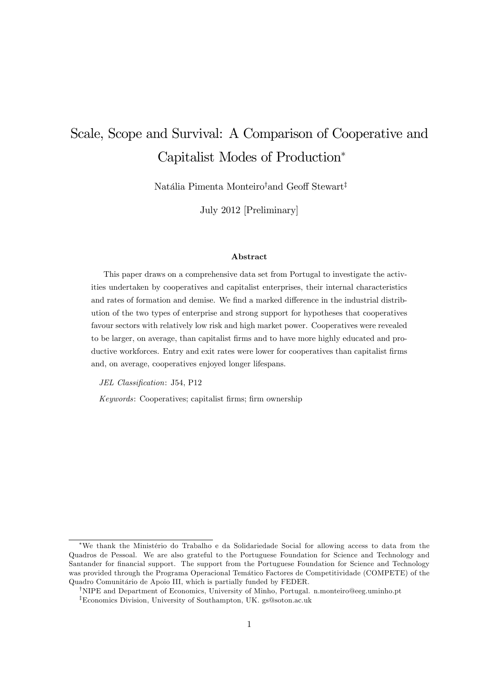# Scale, Scope and Survival: A Comparison of Cooperative and Capitalist Modes of Production

Natália Pimenta Monteiro<sup>†</sup>and Geoff Stewart<sup>‡</sup>

July 2012 [Preliminary]

#### Abstract

This paper draws on a comprehensive data set from Portugal to investigate the activities undertaken by cooperatives and capitalist enterprises, their internal characteristics and rates of formation and demise. We find a marked difference in the industrial distribution of the two types of enterprise and strong support for hypotheses that cooperatives favour sectors with relatively low risk and high market power. Cooperatives were revealed to be larger, on average, than capitalist firms and to have more highly educated and productive workforces. Entry and exit rates were lower for cooperatives than capitalist firms and, on average, cooperatives enjoyed longer lifespans.

JEL Classification: J54, P12

Keywords: Cooperatives; capitalist firms; firm ownership

<sup>\*</sup>We thank the Ministério do Trabalho e da Solidariedade Social for allowing access to data from the Quadros de Pessoal. We are also grateful to the Portuguese Foundation for Science and Technology and Santander for financial support. The support from the Portuguese Foundation for Science and Technology was provided through the Programa Operacional Temático Factores de Competitividade (COMPETE) of the Quadro Comunitário de Apoio III, which is partially funded by FEDER.

<sup>&</sup>lt;sup>†</sup>NIPE and Department of Economics, University of Minho, Portugal. n.monteiro@eeg.uminho.pt

<sup>&</sup>lt;sup>‡</sup>Economics Division, University of Southampton, UK. gs@soton.ac.uk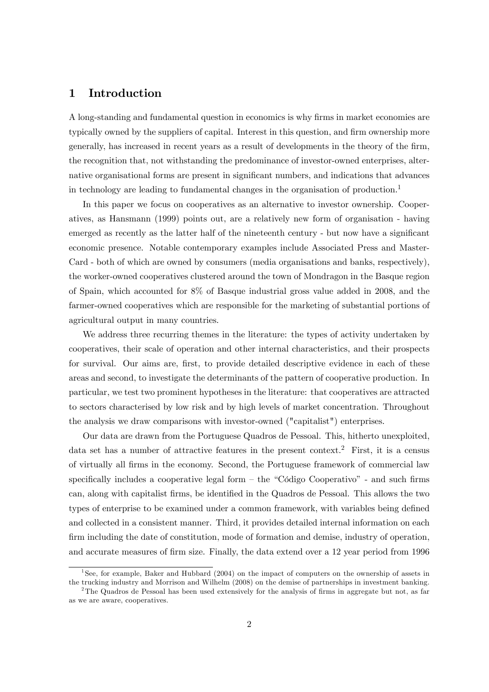# 1 Introduction

A long-standing and fundamental question in economics is why Örms in market economies are typically owned by the suppliers of capital. Interest in this question, and firm ownership more generally, has increased in recent years as a result of developments in the theory of the Örm, the recognition that, not withstanding the predominance of investor-owned enterprises, alternative organisational forms are present in significant numbers, and indications that advances in technology are leading to fundamental changes in the organisation of production.<sup>1</sup>

In this paper we focus on cooperatives as an alternative to investor ownership. Cooperatives, as Hansmann (1999) points out, are a relatively new form of organisation - having emerged as recently as the latter half of the nineteenth century - but now have a significant economic presence. Notable contemporary examples include Associated Press and Master-Card - both of which are owned by consumers (media organisations and banks, respectively), the worker-owned cooperatives clustered around the town of Mondragon in the Basque region of Spain, which accounted for 8% of Basque industrial gross value added in 2008, and the farmer-owned cooperatives which are responsible for the marketing of substantial portions of agricultural output in many countries.

We address three recurring themes in the literature: the types of activity undertaken by cooperatives, their scale of operation and other internal characteristics, and their prospects for survival. Our aims are, first, to provide detailed descriptive evidence in each of these areas and second, to investigate the determinants of the pattern of cooperative production. In particular, we test two prominent hypotheses in the literature: that cooperatives are attracted to sectors characterised by low risk and by high levels of market concentration. Throughout the analysis we draw comparisons with investor-owned ("capitalist") enterprises.

Our data are drawn from the Portuguese Quadros de Pessoal. This, hitherto unexploited, data set has a number of attractive features in the present context.<sup>2</sup> First, it is a census of virtually all Örms in the economy. Second, the Portuguese framework of commercial law specifically includes a cooperative legal form  $-$  the "Código Cooperativo" - and such firms can, along with capitalist firms, be identified in the Quadros de Pessoal. This allows the two types of enterprise to be examined under a common framework, with variables being defined and collected in a consistent manner. Third, it provides detailed internal information on each firm including the date of constitution, mode of formation and demise, industry of operation, and accurate measures of firm size. Finally, the data extend over a 12 year period from 1996

<sup>&</sup>lt;sup>1</sup>See, for example, Baker and Hubbard (2004) on the impact of computers on the ownership of assets in the trucking industry and Morrison and Wilhelm (2008) on the demise of partnerships in investment banking.

<sup>&</sup>lt;sup>2</sup>The Quadros de Pessoal has been used extensively for the analysis of firms in aggregate but not, as far as we are aware, cooperatives.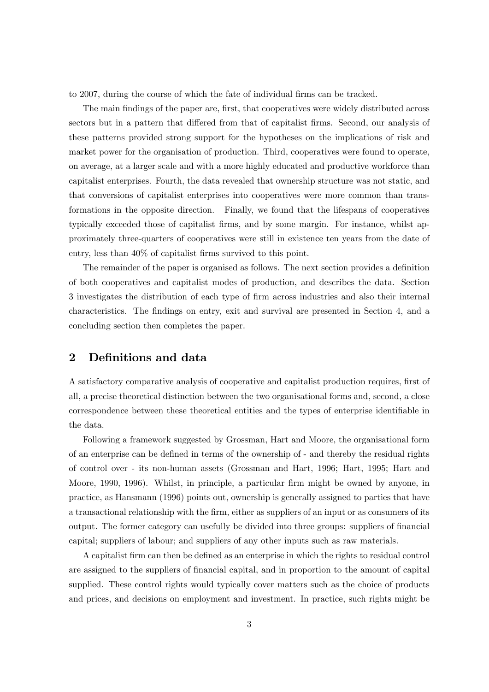to 2007, during the course of which the fate of individual firms can be tracked.

The main findings of the paper are, first, that cooperatives were widely distributed across sectors but in a pattern that differed from that of capitalist firms. Second, our analysis of these patterns provided strong support for the hypotheses on the implications of risk and market power for the organisation of production. Third, cooperatives were found to operate, on average, at a larger scale and with a more highly educated and productive workforce than capitalist enterprises. Fourth, the data revealed that ownership structure was not static, and that conversions of capitalist enterprises into cooperatives were more common than transformations in the opposite direction. Finally, we found that the lifespans of cooperatives typically exceeded those of capitalist firms, and by some margin. For instance, whilst approximately three-quarters of cooperatives were still in existence ten years from the date of entry, less than  $40\%$  of capitalist firms survived to this point.

The remainder of the paper is organised as follows. The next section provides a definition of both cooperatives and capitalist modes of production, and describes the data. Section 3 investigates the distribution of each type of Örm across industries and also their internal characteristics. The findings on entry, exit and survival are presented in Section 4, and a concluding section then completes the paper.

# 2 Definitions and data

A satisfactory comparative analysis of cooperative and capitalist production requires, first of all, a precise theoretical distinction between the two organisational forms and, second, a close correspondence between these theoretical entities and the types of enterprise identifiable in the data.

Following a framework suggested by Grossman, Hart and Moore, the organisational form of an enterprise can be defined in terms of the ownership of - and thereby the residual rights of control over - its non-human assets (Grossman and Hart, 1996; Hart, 1995; Hart and Moore, 1990, 1996). Whilst, in principle, a particular firm might be owned by anyone, in practice, as Hansmann (1996) points out, ownership is generally assigned to parties that have a transactional relationship with the firm, either as suppliers of an input or as consumers of its output. The former category can usefully be divided into three groups: suppliers of financial capital; suppliers of labour; and suppliers of any other inputs such as raw materials.

A capitalist firm can then be defined as an enterprise in which the rights to residual control are assigned to the suppliers of financial capital, and in proportion to the amount of capital supplied. These control rights would typically cover matters such as the choice of products and prices, and decisions on employment and investment. In practice, such rights might be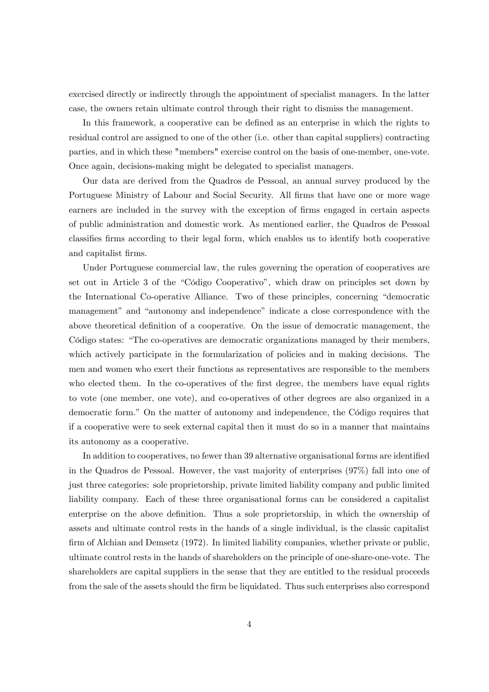exercised directly or indirectly through the appointment of specialist managers. In the latter case, the owners retain ultimate control through their right to dismiss the management.

In this framework, a cooperative can be defined as an enterprise in which the rights to residual control are assigned to one of the other (i.e. other than capital suppliers) contracting parties, and in which these "members" exercise control on the basis of one-member, one-vote. Once again, decisions-making might be delegated to specialist managers.

Our data are derived from the Quadros de Pessoal, an annual survey produced by the Portuguese Ministry of Labour and Social Security. All firms that have one or more wage earners are included in the survey with the exception of firms engaged in certain aspects of public administration and domestic work. As mentioned earlier, the Quadros de Pessoal classifies firms according to their legal form, which enables us to identify both cooperative and capitalist Örms.

Under Portuguese commercial law, the rules governing the operation of cooperatives are set out in Article 3 of the "Código Cooperativo", which draw on principles set down by the International Co-operative Alliance. Two of these principles, concerning "democratic management" and "autonomy and independence" indicate a close correspondence with the above theoretical definition of a cooperative. On the issue of democratic management, the Código states: "The co-operatives are democratic organizations managed by their members, which actively participate in the formularization of policies and in making decisions. The men and women who exert their functions as representatives are responsible to the members who elected them. In the co-operatives of the first degree, the members have equal rights to vote (one member, one vote), and co-operatives of other degrees are also organized in a democratic form." On the matter of autonomy and independence, the Código requires that if a cooperative were to seek external capital then it must do so in a manner that maintains its autonomy as a cooperative.

In addition to cooperatives, no fewer than 39 alternative organisational forms are identified in the Quadros de Pessoal. However, the vast majority of enterprises (97%) fall into one of just three categories: sole proprietorship, private limited liability company and public limited liability company. Each of these three organisational forms can be considered a capitalist enterprise on the above definition. Thus a sole proprietorship, in which the ownership of assets and ultimate control rests in the hands of a single individual, is the classic capitalist firm of Alchian and Demsetz (1972). In limited liability companies, whether private or public, ultimate control rests in the hands of shareholders on the principle of one-share-one-vote. The shareholders are capital suppliers in the sense that they are entitled to the residual proceeds from the sale of the assets should the firm be liquidated. Thus such enterprises also correspond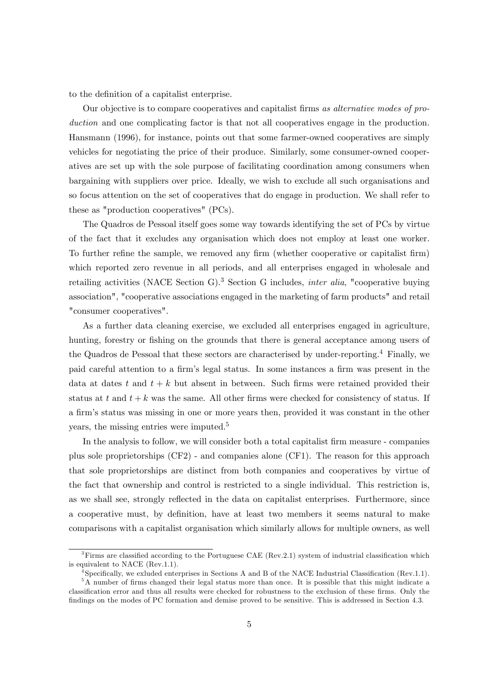to the definition of a capitalist enterprise.

Our objective is to compare cooperatives and capitalist firms as alternative modes of production and one complicating factor is that not all cooperatives engage in the production. Hansmann (1996), for instance, points out that some farmer-owned cooperatives are simply vehicles for negotiating the price of their produce. Similarly, some consumer-owned cooperatives are set up with the sole purpose of facilitating coordination among consumers when bargaining with suppliers over price. Ideally, we wish to exclude all such organisations and so focus attention on the set of cooperatives that do engage in production. We shall refer to these as "production cooperatives" (PCs).

The Quadros de Pessoal itself goes some way towards identifying the set of PCs by virtue of the fact that it excludes any organisation which does not employ at least one worker. To further refine the sample, we removed any firm (whether cooperative or capitalist firm) which reported zero revenue in all periods, and all enterprises engaged in wholesale and retailing activities (NACE Section G).<sup>3</sup> Section G includes, *inter alia*, "cooperative buying association", "cooperative associations engaged in the marketing of farm products" and retail "consumer cooperatives".

As a further data cleaning exercise, we excluded all enterprises engaged in agriculture, hunting, forestry or fishing on the grounds that there is general acceptance among users of the Quadros de Pessoal that these sectors are characterised by under-reporting.<sup>4</sup> Finally, we paid careful attention to a firm's legal status. In some instances a firm was present in the data at dates t and  $t + k$  but absent in between. Such firms were retained provided their status at t and  $t + k$  was the same. All other firms were checked for consistency of status. If a firm's status was missing in one or more years then, provided it was constant in the other years, the missing entries were imputed.<sup>5</sup>

In the analysis to follow, we will consider both a total capitalist firm measure - companies plus sole proprietorships (CF2) - and companies alone (CF1). The reason for this approach that sole proprietorships are distinct from both companies and cooperatives by virtue of the fact that ownership and control is restricted to a single individual. This restriction is, as we shall see, strongly reflected in the data on capitalist enterprises. Furthermore, since a cooperative must, by deÖnition, have at least two members it seems natural to make comparisons with a capitalist organisation which similarly allows for multiple owners, as well

 $3$ Firms are classified according to the Portuguese CAE (Rev.2.1) system of industrial classification which is equivalent to NACE (Rev.1.1).

<sup>&</sup>lt;sup>4</sup>Specifically, we exluded enterprises in Sections A and B of the NACE Industrial Classification (Rev.1.1).

<sup>&</sup>lt;sup>5</sup>A number of firms changed their legal status more than once. It is possible that this might indicate a classification error and thus all results were checked for robustness to the exclusion of these firms. Only the findings on the modes of PC formation and demise proved to be sensitive. This is addressed in Section 4.3.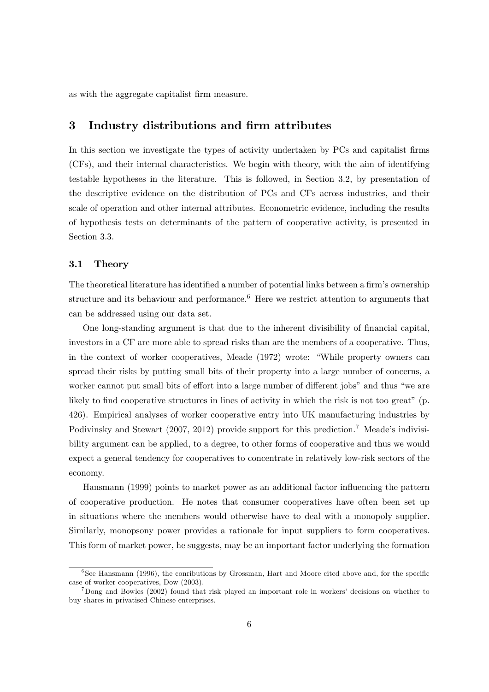as with the aggregate capitalist Örm measure.

# 3 Industry distributions and firm attributes

In this section we investigate the types of activity undertaken by PCs and capitalist firms (CFs), and their internal characteristics. We begin with theory, with the aim of identifying testable hypotheses in the literature. This is followed, in Section 3.2, by presentation of the descriptive evidence on the distribution of PCs and CFs across industries, and their scale of operation and other internal attributes. Econometric evidence, including the results of hypothesis tests on determinants of the pattern of cooperative activity, is presented in Section 3.3.

#### 3.1 Theory

The theoretical literature has identified a number of potential links between a firm's ownership structure and its behaviour and performance.<sup>6</sup> Here we restrict attention to arguments that can be addressed using our data set.

One long-standing argument is that due to the inherent divisibility of financial capital, investors in a CF are more able to spread risks than are the members of a cooperative. Thus, in the context of worker cooperatives, Meade  $(1972)$  wrote: "While property owners can spread their risks by putting small bits of their property into a large number of concerns, a worker cannot put small bits of effort into a large number of different jobs" and thus "we are likely to find cooperative structures in lines of activity in which the risk is not too great"  $(p.$ 426). Empirical analyses of worker cooperative entry into UK manufacturing industries by Podivinsky and Stewart (2007, 2012) provide support for this prediction.<sup>7</sup> Meade's indivisibility argument can be applied, to a degree, to other forms of cooperative and thus we would expect a general tendency for cooperatives to concentrate in relatively low-risk sectors of the economy.

Hansmann (1999) points to market power as an additional factor influencing the pattern of cooperative production. He notes that consumer cooperatives have often been set up in situations where the members would otherwise have to deal with a monopoly supplier. Similarly, monopsony power provides a rationale for input suppliers to form cooperatives. This form of market power, he suggests, may be an important factor underlying the formation

<sup>&</sup>lt;sup>6</sup>See Hansmann (1996), the conributions by Grossman, Hart and Moore cited above and, for the specific case of worker cooperatives, Dow (2003).

<sup>&</sup>lt;sup>7</sup>Dong and Bowles (2002) found that risk played an important role in workers' decisions on whether to buy shares in privatised Chinese enterprises.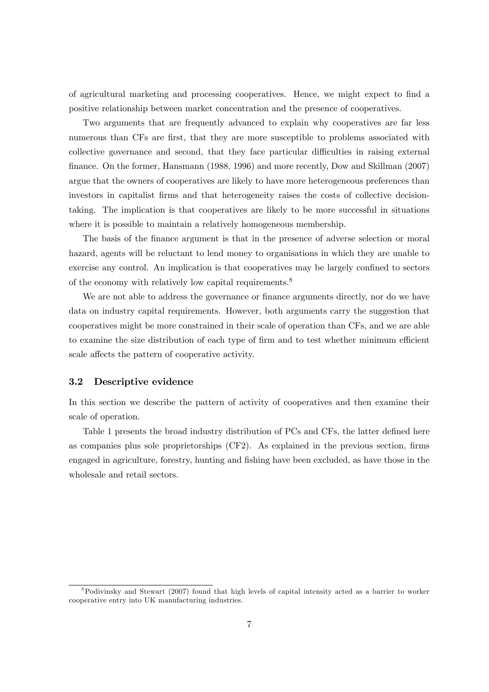of agricultural marketing and processing cooperatives. Hence, we might expect to Önd a positive relationship between market concentration and the presence of cooperatives.

Two arguments that are frequently advanced to explain why cooperatives are far less numerous than CFs are first, that they are more susceptible to problems associated with collective governance and second, that they face particular difficulties in raising external finance. On the former, Hansmann (1988, 1996) and more recently, Dow and Skillman (2007) argue that the owners of cooperatives are likely to have more heterogeneous preferences than investors in capitalist Örms and that heterogeneity raises the costs of collective decisiontaking. The implication is that cooperatives are likely to be more successful in situations where it is possible to maintain a relatively homogeneous membership.

The basis of the finance argument is that in the presence of adverse selection or moral hazard, agents will be reluctant to lend money to organisations in which they are unable to exercise any control. An implication is that cooperatives may be largely confined to sectors of the economy with relatively low capital requirements.<sup>8</sup>

We are not able to address the governance or finance arguments directly, nor do we have data on industry capital requirements. However, both arguments carry the suggestion that cooperatives might be more constrained in their scale of operation than CFs, and we are able to examine the size distribution of each type of firm and to test whether minimum efficient scale affects the pattern of cooperative activity.

#### 3.2 Descriptive evidence

In this section we describe the pattern of activity of cooperatives and then examine their scale of operation.

Table 1 presents the broad industry distribution of PCs and CFs, the latter defined here as companies plus sole proprietorships  $(CF2)$ . As explained in the previous section, firms engaged in agriculture, forestry, hunting and Öshing have been excluded, as have those in the wholesale and retail sectors.

<sup>8</sup>Podivinsky and Stewart (2007) found that high levels of capital intensity acted as a barrier to worker cooperative entry into UK manufacturing industries.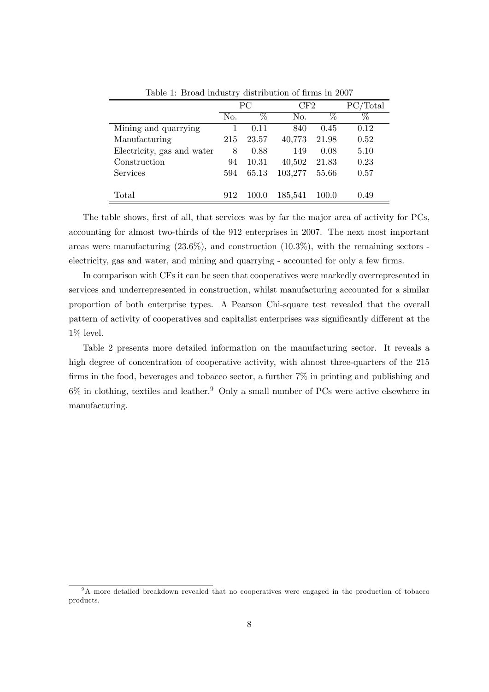|                            | PС  |       | $\operatorname{CF2}$ |       | $\mathbb{C}/\text{Total}$ |
|----------------------------|-----|-------|----------------------|-------|---------------------------|
|                            | No. | %     | No.                  | %     | %                         |
| Mining and quarrying       |     | 0.11  | 840                  | 0.45  | 0.12                      |
| Manufacturing              | 215 | 23.57 | 40,773               | 21.98 | 0.52                      |
| Electricity, gas and water | 8   | 0.88  | 149                  | 0.08  | 5.10                      |
| Construction               | 94  | 10.31 | 40,502               | 21.83 | 0.23                      |
| <b>Services</b>            | 594 | 65.13 | 103,277              | 55.66 | 0.57                      |
|                            |     |       |                      |       |                           |
| Total                      | 912 |       | 185,541              | 100.0 | 0.49                      |

Table 1: Broad industry distribution of firms in 2007

The table shows, first of all, that services was by far the major area of activity for PCs, accounting for almost two-thirds of the 912 enterprises in 2007. The next most important areas were manufacturing  $(23.6\%)$ , and construction  $(10.3\%)$ , with the remaining sectors electricity, gas and water, and mining and quarrying - accounted for only a few firms.

In comparison with CFs it can be seen that cooperatives were markedly overrepresented in services and underrepresented in construction, whilst manufacturing accounted for a similar proportion of both enterprise types. A Pearson Chi-square test revealed that the overall pattern of activity of cooperatives and capitalist enterprises was significantly different at the 1% level.

Table 2 presents more detailed information on the manufacturing sector. It reveals a high degree of concentration of cooperative activity, with almost three-quarters of the 215 firms in the food, beverages and tobacco sector, a further  $7\%$  in printing and publishing and  $6\%$  in clothing, textiles and leather.<sup>9</sup> Only a small number of PCs were active elsewhere in manufacturing.

<sup>&</sup>lt;sup>9</sup>A more detailed breakdown revealed that no cooperatives were engaged in the production of tobacco products.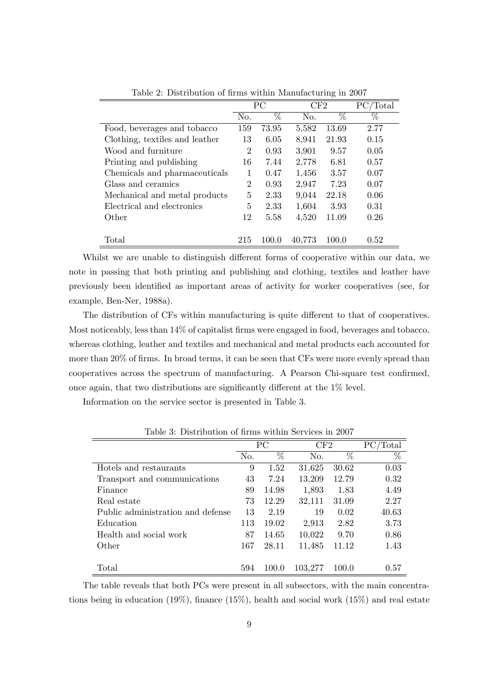|                                |                | PC    | $\mathrm{CF}2$ |       | $\text{Total}$ |
|--------------------------------|----------------|-------|----------------|-------|----------------|
|                                | No.            | %     | No.            | $\%$  | %              |
| Food, beverages and tobacco    | 159            | 73.95 | 5,582          | 13.69 | 2.77           |
| Clothing, textiles and leather | 13             | 6.05  | 8,941          | 21.93 | 0.15           |
| Wood and furniture             | 2              | 0.93  | 3,901          | 9.57  | 0.05           |
| Printing and publishing        | 16             | 7.44  | 2,778          | 6.81  | 0.57           |
| Chemicals and pharmaceuticals  | 1              | 0.47  | 1,456          | 3.57  | 0.07           |
| Glass and ceramics             | $\overline{2}$ | 0.93  | 2,947          | 7.23  | 0.07           |
| Mechanical and metal products  | 5              | 2.33  | 9,044          | 22.18 | 0.06           |
| Electrical and electronics     | 5              | 2.33  | 1,604          | 3.93  | 0.31           |
| Other                          | 12             | 5.58  | 4,520          | 11.09 | 0.26           |
|                                |                |       |                |       |                |
| Total                          | 215            | 100.0 | 40,773         | 100.0 | 0.52           |

Table 2: Distribution of firms within Manufacturing in 2007

Whilst we are unable to distinguish different forms of cooperative within our data, we note in passing that both printing and publishing and clothing, textiles and leather have previously been identified as important areas of activity for worker cooperatives (see, for example, Ben-Ner, 1988a).

The distribution of CFs within manufacturing is quite different to that of cooperatives. Most noticeably, less than  $14\%$  of capitalist firms were engaged in food, beverages and tobacco, whereas clothing, leather and textiles and mechanical and metal products each accounted for more than 20% of firms. In broad terms, it can be seen that CFs were more evenly spread than cooperatives across the spectrum of manufacturing. A Pearson Chi-square test confirmed, once again, that two distributions are significantly different at the  $1\%$  level.

Information on the service sector is presented in Table 3.

|                                   |     | PC    | CF2     |                 | PС<br>Total |
|-----------------------------------|-----|-------|---------|-----------------|-------------|
|                                   | No. | $\%$  | No.     | $\overline{\%}$ | $\%$        |
| Hotels and restaurants            | 9   | 1.52  | 31,625  | 30.62           | 0.03        |
| Transport and communications      | 43  | 7.24  | 13,209  | 12.79           | 0.32        |
| Finance                           | 89  | 14.98 | 1,893   | 1.83            | 4.49        |
| Real estate                       | 73  | 12.29 | 32,111  | 31.09           | 2.27        |
| Public administration and defense | 13  | 2.19  | 19      | 0.02            | 40.63       |
| Education                         | 113 | 19.02 | 2,913   | 2.82            | 3.73        |
| Health and social work            | 87  | 14.65 | 10,022  | 9.70            | 0.86        |
| Other                             | 167 | 28.11 | 11,485  | 11.12           | 1.43        |
|                                   |     |       |         |                 |             |
| Total                             | 594 | 100.0 | 103.277 | 100.0           | 0.57        |

Table 3: Distribution of firms within Services in 2007

The table reveals that both PCs were present in all subsectors, with the main concentrations being in education  $(19\%)$ , finance  $(15\%)$ , health and social work  $(15\%)$  and real estate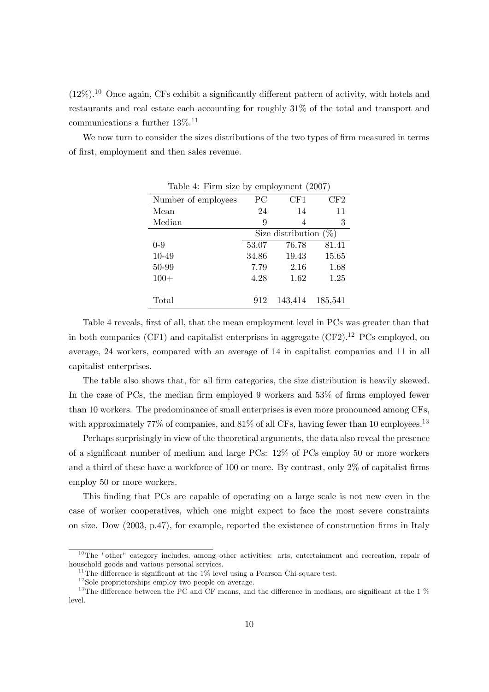$(12\%)$ <sup>10</sup> Once again, CFs exhibit a significantly different pattern of activity, with hotels and restaurants and real estate each accounting for roughly 31% of the total and transport and communications a further 13%.<sup>11</sup>

We now turn to consider the sizes distributions of the two types of firm measured in terms of Örst, employment and then sales revenue.

| $1000$ $\mu$ $\mu$ $\mu$ $\mu$ $\mu$ $\mu$ $\sigma$ $\mu$ $\mu$ $\sigma$ $\mu$ $\mu$ $\sigma$ $\sigma$ $\mu$ $\mu$ |                          |         |         |  |  |  |  |
|--------------------------------------------------------------------------------------------------------------------|--------------------------|---------|---------|--|--|--|--|
| Number of employees                                                                                                | PС                       | CF1     | CF2     |  |  |  |  |
| Mean                                                                                                               | 24                       | 14      | 11      |  |  |  |  |
| Median                                                                                                             | 9                        | 4       | 3       |  |  |  |  |
|                                                                                                                    | Size distribution $(\%)$ |         |         |  |  |  |  |
| $0 - 9$                                                                                                            | 53.07                    | 76.78   | 81.41   |  |  |  |  |
| 10-49                                                                                                              | 34.86                    | 19.43   | 15.65   |  |  |  |  |
| 50-99                                                                                                              | 7.79                     | 2.16    | 1.68    |  |  |  |  |
| $100+$                                                                                                             | 4.28                     | 1.62    | 1.25    |  |  |  |  |
|                                                                                                                    |                          |         |         |  |  |  |  |
| Total                                                                                                              | 912                      | 143,414 | 185,541 |  |  |  |  |

Table 4: Firm size by employment (2007)

Table 4 reveals, first of all, that the mean employment level in PCs was greater than that in both companies (CF1) and capitalist enterprises in aggregate  $(CF2)^{12}$  PCs employed, on average, 24 workers, compared with an average of 14 in capitalist companies and 11 in all capitalist enterprises.

The table also shows that, for all firm categories, the size distribution is heavily skewed. In the case of PCs, the median firm employed 9 workers and  $53\%$  of firms employed fewer than 10 workers. The predominance of small enterprises is even more pronounced among CFs, with approximately 77% of companies, and  $81\%$  of all CFs, having fewer than 10 employees.<sup>13</sup>

Perhaps surprisingly in view of the theoretical arguments, the data also reveal the presence of a significant number of medium and large PCs:  $12\%$  of PCs employ 50 or more workers and a third of these have a workforce of 100 or more. By contrast, only  $2\%$  of capitalist firms employ 50 or more workers.

This finding that PCs are capable of operating on a large scale is not new even in the case of worker cooperatives, which one might expect to face the most severe constraints on size. Dow (2003, p.47), for example, reported the existence of construction firms in Italy

 $10$ The "other" category includes, among other activities: arts, entertainment and recreation, repair of household goods and various personal services.

<sup>&</sup>lt;sup>11</sup>The difference is significant at the  $1\%$  level using a Pearson Chi-square test.

 $12$  Sole proprietorships employ two people on average.

 $13$ The difference between the PC and CF means, and the difference in medians, are significant at the 1 % level.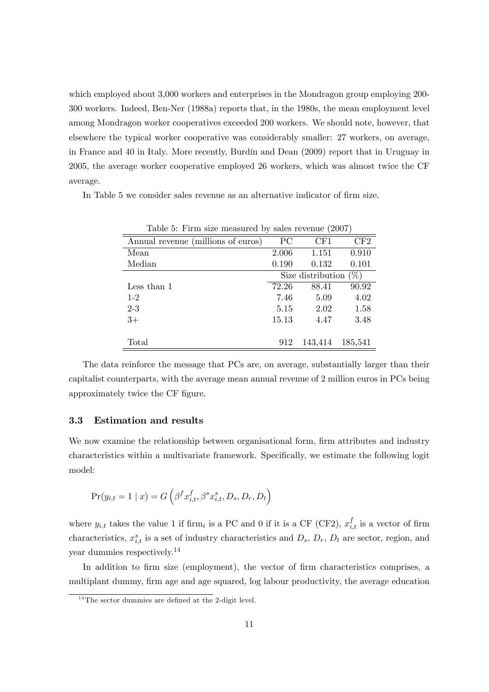which employed about 3,000 workers and enterprises in the Mondragon group employing 200-300 workers. Indeed, Ben-Ner (1988a) reports that, in the 1980s, the mean employment level among Mondragon worker cooperatives exceeded 200 workers. We should note, however, that elsewhere the typical worker cooperative was considerably smaller: 27 workers, on average, in France and 40 in Italy. More recently, Burdín and Dean (2009) report that in Uruguay in 2005, the average worker cooperative employed 26 workers, which was almost twice the CF average.

In Table 5 we consider sales revenue as an alternative indicator of firm size.

| Table 5: Firm size measured by sales revenue (2007) |                          |         |         |  |  |  |  |  |  |
|-----------------------------------------------------|--------------------------|---------|---------|--|--|--|--|--|--|
| Annual revenue (millions of euros)                  | PС                       | CF1     | CF2     |  |  |  |  |  |  |
| Mean                                                | 2.006                    | 1.151   | 0.910   |  |  |  |  |  |  |
| Median                                              | 0.190                    | 0.132   | 0.101   |  |  |  |  |  |  |
|                                                     | Size distribution $(\%)$ |         |         |  |  |  |  |  |  |
| Less than 1                                         | 72.26                    | 88.41   | 90.92   |  |  |  |  |  |  |
| $1 - 2$                                             | 7.46                     | 5.09    | 4.02    |  |  |  |  |  |  |
| $2 - 3$                                             | 5.15                     | 2.02    | 1.58    |  |  |  |  |  |  |
| $3+$                                                | 15.13                    | 4.47    | 3.48    |  |  |  |  |  |  |
|                                                     |                          |         |         |  |  |  |  |  |  |
| Total                                               | 912                      | 143,414 | 185,541 |  |  |  |  |  |  |

The data reinforce the message that PCs are, on average, substantially larger than their capitalist counterparts, with the average mean annual revenue of 2 million euros in PCs being approximately twice the CF figure.

#### 3.3 Estimation and results

We now examine the relationship between organisational form, firm attributes and industry characteristics within a multivariate framework. Specifically, we estimate the following logit model:

$$
Pr(y_{i,t} = 1 | x) = G\left(\beta^f x_{i,t}^f, \beta^s x_{i,t}^s, D_s, D_r, D_t\right)
$$

where  $y_{i,t}$  takes the value 1 if firm<sub>i</sub> is a PC and 0 if it is a CF (CF2),  $x_{i,t}^f$  is a vector of firm characteristics,  $x_{i,t}^s$  is a set of industry characteristics and  $D_s$ ,  $D_r$ ,  $D_t$  are sector, region, and year dummies respectively.<sup>14</sup>

In addition to firm size (employment), the vector of firm characteristics comprises, a multiplant dummy, firm age and age squared, log labour productivity, the average education

 $14$ The sector dummies are defined at the 2-digit level.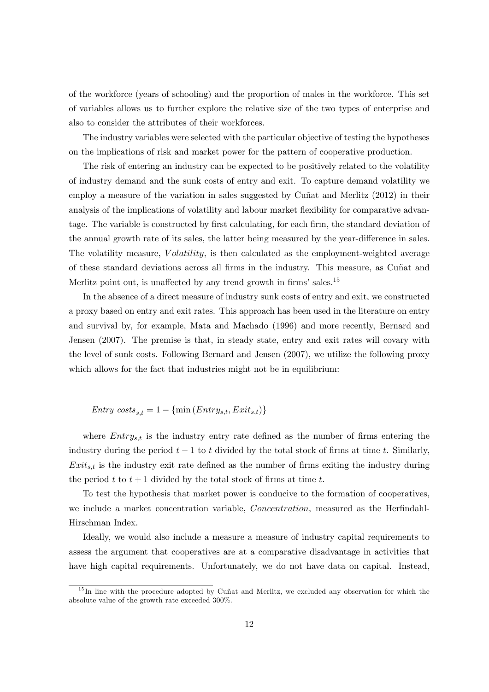of the workforce (years of schooling) and the proportion of males in the workforce. This set of variables allows us to further explore the relative size of the two types of enterprise and also to consider the attributes of their workforces.

The industry variables were selected with the particular objective of testing the hypotheses on the implications of risk and market power for the pattern of cooperative production.

The risk of entering an industry can be expected to be positively related to the volatility of industry demand and the sunk costs of entry and exit. To capture demand volatility we employ a measure of the variation in sales suggested by Cuñat and Merlitz (2012) in their analysis of the implications of volatility and labour market flexibility for comparative advantage. The variable is constructed by first calculating, for each firm, the standard deviation of the annual growth rate of its sales, the latter being measured by the year-difference in sales. The volatility measure, *Volatility*, is then calculated as the employment-weighted average of these standard deviations across all firms in the industry. This measure, as Cuñat and Merlitz point out, is unaffected by any trend growth in firms' sales.<sup>15</sup>

In the absence of a direct measure of industry sunk costs of entry and exit, we constructed a proxy based on entry and exit rates. This approach has been used in the literature on entry and survival by, for example, Mata and Machado (1996) and more recently, Bernard and Jensen (2007). The premise is that, in steady state, entry and exit rates will covary with the level of sunk costs. Following Bernard and Jensen (2007), we utilize the following proxy which allows for the fact that industries might not be in equilibrium:

 $Entry\ costs_{s,t} = 1 - \{\min\left(Entry_{s,t},Exit_{s,t})\}\}$ 

where  $Entry_{s,t}$  is the industry entry rate defined as the number of firms entering the industry during the period  $t - 1$  to t divided by the total stock of firms at time t. Similarly,  $Exit_{s,t}$  is the industry exit rate defined as the number of firms exiting the industry during the period t to  $t + 1$  divided by the total stock of firms at time t.

To test the hypothesis that market power is conducive to the formation of cooperatives, we include a market concentration variable, *Concentration*, measured as the Herfindahl-Hirschman Index.

Ideally, we would also include a measure a measure of industry capital requirements to assess the argument that cooperatives are at a comparative disadvantage in activities that have high capital requirements. Unfortunately, we do not have data on capital. Instead,

 $15$  In line with the procedure adopted by Cuñat and Merlitz, we excluded any observation for which the absolute value of the growth rate exceeded 300%.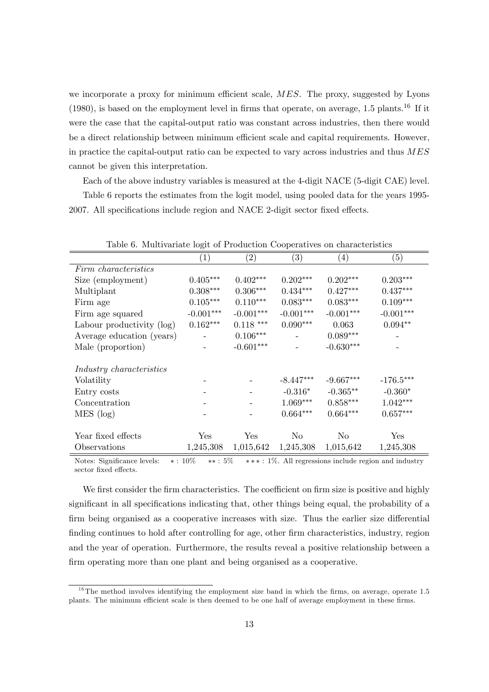we incorporate a proxy for minimum efficient scale,  $MES$ . The proxy, suggested by Lyons (1980), is based on the employment level in firms that operate, on average, 1.5 plants.<sup>16</sup> If it were the case that the capital-output ratio was constant across industries, then there would be a direct relationship between minimum efficient scale and capital requirements. However, in practice the capital-output ratio can be expected to vary across industries and thus MES cannot be given this interpretation.

Each of the above industry variables is measured at the 4-digit NACE (5-digit CAE) level.

Table 6 reports the estimates from the logit model, using pooled data for the years 1995- 2007. All specifications include region and NACE 2-digit sector fixed effects.

|                                 | (1)                    | $\left( 2\right)$ | $\left( 3\right)$ | $\left( 4\right)$ | (5)         |
|---------------------------------|------------------------|-------------------|-------------------|-------------------|-------------|
| Firm characteristics            |                        |                   |                   |                   |             |
| Size (employment)               | $0.405***$             | $0.402***$        | $0.202***$        | $0.202***$        | $0.203***$  |
| Multiplant                      | $0.308^{\ast\ast\ast}$ | $0.306^{***}\,$   | $0.434***$        | $0.427***$        | $0.437***$  |
| Firm age                        | $0.105***$             | $0.110***$        | $0.083***$        | $0.083***$        | $0.109***$  |
| Firm age squared                | $-0.001***$            | $-0.001***$       | $-0.001***$       | $-0.001***$       | $-0.001***$ |
| Labour productivity (log)       | $0.162***$             | $0.118$ ***       | $0.090***$        | 0.063             | $0.094**$   |
| Average education (years)       |                        | $0.106***$        |                   | $0.089***$        |             |
| Male (proportion)               |                        | $-0.601***$       |                   | $-0.630***$       |             |
|                                 |                        |                   |                   |                   |             |
| <i>Industry characteristics</i> |                        |                   |                   |                   |             |
| Volatility                      |                        |                   | $-8.447***$       | $-9.667***$       | $-176.5***$ |
| Entry costs                     |                        |                   | $-0.316*$         | $-0.365**$        | $-0.360*$   |
| Concentration                   |                        |                   | $1.069***$        | $0.858***$        | $1.042***$  |
| MES (log)                       |                        |                   | $0.664***$        | $0.664***$        | $0.657***$  |
|                                 |                        |                   |                   |                   |             |
| Year fixed effects              | Yes                    | $_{\rm Yes}$      | No                | No                | Yes         |
| Observations                    | 1,245,308              | 1,015,642         | 1,245,308         | 1,015,642         | 1,245,308   |

Table 6. Multivariate logit of Production Cooperatives on characteristics

Notes: Significance levels:  $*: 10\%$   $**: 5\%$   $***: 1\%$ . All regressions include region and industry sector fixed effects.

We first consider the firm characteristics. The coefficient on firm size is positive and highly significant in all specifications indicating that, other things being equal, the probability of a firm being organised as a cooperative increases with size. Thus the earlier size differential finding continues to hold after controlling for age, other firm characteristics, industry, region and the year of operation. Furthermore, the results reveal a positive relationship between a firm operating more than one plant and being organised as a cooperative.

 $16$ The method involves identifying the employment size band in which the firms, on average, operate 1.5 plants. The minimum efficient scale is then deemed to be one half of average employment in these firms.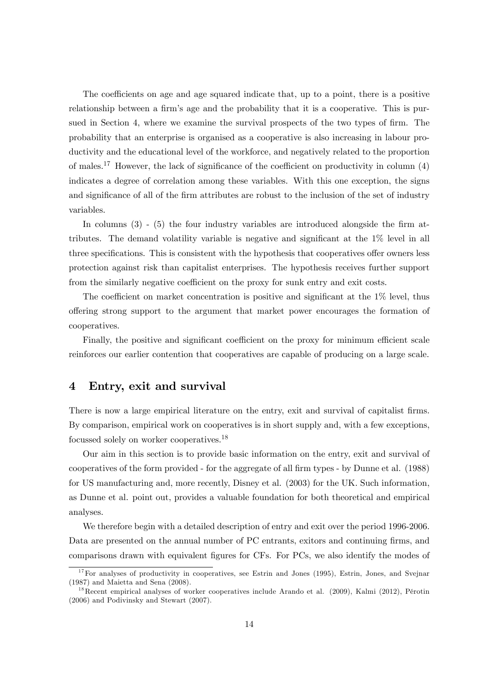The coefficients on age and age squared indicate that, up to a point, there is a positive relationship between a firm's age and the probability that it is a cooperative. This is pursued in Section 4, where we examine the survival prospects of the two types of firm. The probability that an enterprise is organised as a cooperative is also increasing in labour productivity and the educational level of the workforce, and negatively related to the proportion of males.<sup>17</sup> However, the lack of significance of the coefficient on productivity in column  $(4)$ indicates a degree of correlation among these variables. With this one exception, the signs and significance of all of the firm attributes are robust to the inclusion of the set of industry variables.

In columns  $(3)$  -  $(5)$  the four industry variables are introduced alongside the firm attributes. The demand volatility variable is negative and significant at the  $1\%$  level in all three specifications. This is consistent with the hypothesis that cooperatives offer owners less protection against risk than capitalist enterprises. The hypothesis receives further support from the similarly negative coefficient on the proxy for sunk entry and exit costs.

The coefficient on market concentration is positive and significant at the  $1\%$  level, thus offering strong support to the argument that market power encourages the formation of cooperatives.

Finally, the positive and significant coefficient on the proxy for minimum efficient scale reinforces our earlier contention that cooperatives are capable of producing on a large scale.

# 4 Entry, exit and survival

There is now a large empirical literature on the entry, exit and survival of capitalist firms. By comparison, empirical work on cooperatives is in short supply and, with a few exceptions, focussed solely on worker cooperatives.<sup>18</sup>

Our aim in this section is to provide basic information on the entry, exit and survival of cooperatives of the form provided - for the aggregate of all Örm types - by Dunne et al. (1988) for US manufacturing and, more recently, Disney et al. (2003) for the UK. Such information, as Dunne et al. point out, provides a valuable foundation for both theoretical and empirical analyses.

We therefore begin with a detailed description of entry and exit over the period 1996-2006. Data are presented on the annual number of PC entrants, exitors and continuing firms, and comparisons drawn with equivalent figures for CFs. For PCs, we also identify the modes of

<sup>&</sup>lt;sup>17</sup>For analyses of productivity in cooperatives, see Estrin and Jones (1995), Estrin, Jones, and Svejnar (1987) and Maietta and Sena (2008).

<sup>&</sup>lt;sup>18</sup>Recent empirical analyses of worker cooperatives include Arando et al.  $(2009)$ , Kalmi  $(2012)$ , Pérotin (2006) and Podivinsky and Stewart (2007).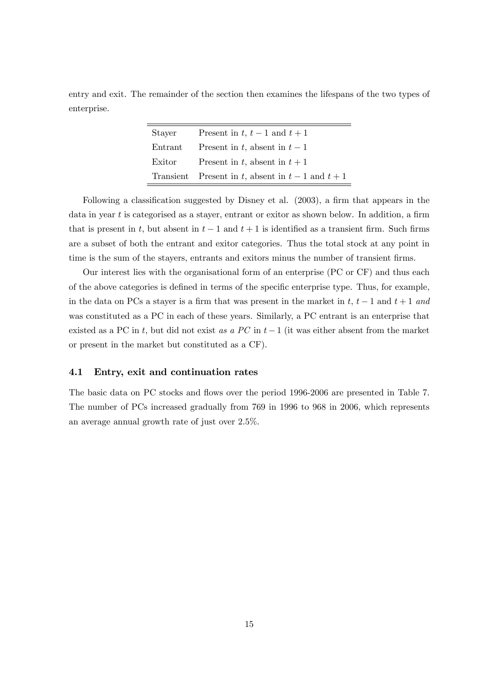entry and exit. The remainder of the section then examines the lifespans of the two types of enterprise.

| Stayer  | Present in t, $t-1$ and $t+1$                     |
|---------|---------------------------------------------------|
| Entrant | Present in t, absent in $t-1$                     |
| Exitor  | Present in t, absent in $t+1$                     |
|         | Transient Present in t, absent in $t-1$ and $t+1$ |

Following a classification suggested by Disney et al.  $(2003)$ , a firm that appears in the data in year  $t$  is categorised as a stayer, entrant or exitor as shown below. In addition, a firm that is present in t, but absent in  $t-1$  and  $t+1$  is identified as a transient firm. Such firms are a subset of both the entrant and exitor categories. Thus the total stock at any point in time is the sum of the stayers, entrants and exitors minus the number of transient firms.

Our interest lies with the organisational form of an enterprise (PC or CF) and thus each of the above categories is defined in terms of the specific enterprise type. Thus, for example, in the data on PCs a stayer is a firm that was present in the market in t,  $t - 1$  and  $t + 1$  and was constituted as a PC in each of these years. Similarly, a PC entrant is an enterprise that existed as a PC in t, but did not exist as a PC in  $t-1$  (it was either absent from the market or present in the market but constituted as a CF).

#### 4.1 Entry, exit and continuation rates

The basic data on PC stocks and flows over the period 1996-2006 are presented in Table 7. The number of PCs increased gradually from 769 in 1996 to 968 in 2006, which represents an average annual growth rate of just over 2.5%.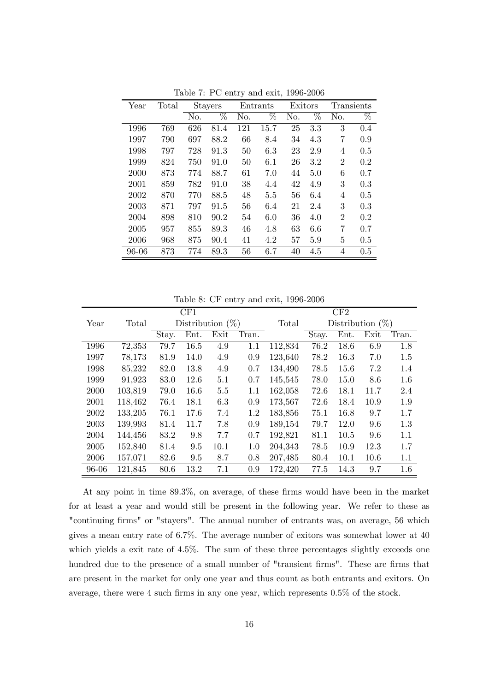| Year  | Total |     | <b>Stayers</b> |     | Entrants | Exitors |     | Transients     |                 |
|-------|-------|-----|----------------|-----|----------|---------|-----|----------------|-----------------|
|       |       | No. | %              | No. | %        | No.     | %   | No.            | $\overline{\%}$ |
| 1996  | 769   | 626 | 81.4           | 121 | 15.7     | 25      | 3.3 | 3              | 0.4             |
| 1997  | 790   | 697 | 88.2           | 66  | 8.4      | 34      | 4.3 | 7              | 0.9             |
| 1998  | 797   | 728 | 91.3           | 50  | 6.3      | 23      | 2.9 | 4              | 0.5             |
| 1999  | 824   | 750 | 91.0           | 50  | 6.1      | 26      | 3.2 | $\overline{2}$ | $0.2\,$         |
| 2000  | 873   | 774 | 88.7           | 61  | 7.0      | 44      | 5.0 | 6              | 0.7             |
| 2001  | 859   | 782 | 91.0           | 38  | 4.4      | 42      | 4.9 | 3              | 0.3             |
| 2002  | 870   | 770 | 88.5           | 48  | 5.5      | 56      | 6.4 | 4              | 0.5             |
| 2003  | 871   | 797 | 91.5           | 56  | 6.4      | 21      | 2.4 | 3              | 0.3             |
| 2004  | 898   | 810 | 90.2           | 54  | 6.0      | 36      | 4.0 | $\overline{2}$ | $0.2\,$         |
| 2005  | 957   | 855 | 89.3           | 46  | 4.8      | 63      | 6.6 | 7              | 0.7             |
| 2006  | 968   | 875 | 90.4           | 41  | 4.2      | 57      | 5.9 | 5              | 0.5             |
| 96-06 | 873   | 774 | 89.3           | 56  | 6.7      | 40      | 4.5 | 4              | 0.5             |

Table 7: PC entry and exit, 1996-2006

Table 8: CF entry and exit, 1996-2006

|       |         |       | CF1                 |      |       | CF2<br>Total |       |                                      |      |         |  |
|-------|---------|-------|---------------------|------|-------|--------------|-------|--------------------------------------|------|---------|--|
| Year  | Total   |       | Distribution $(\%)$ |      |       |              |       | $\overline{\text{Distribution}}$ (%) |      |         |  |
|       |         | Stay. | Ent.                | Exit | Tran. |              | Stay. | Ent.                                 | Exit | Tran.   |  |
| 1996  | 72,353  | 79.7  | 16.5                | 4.9  | 1.1   | 112,834      | 76.2  | 18.6                                 | 6.9  | 1.8     |  |
| 1997  | 78,173  | 81.9  | 14.0                | 4.9  | 0.9   | 123,640      | 78.2  | 16.3                                 | 7.0  | 1.5     |  |
| 1998  | 85,232  | 82.0  | 13.8                | 4.9  | 0.7   | 134,490      | 78.5  | 15.6                                 | 7.2  | 1.4     |  |
| 1999  | 91,923  | 83.0  | 12.6                | 5.1  | 0.7   | 145,545      | 78.0  | 15.0                                 | 8.6  | $1.6\,$ |  |
| 2000  | 103,819 | 79.0  | 16.6                | 5.5  | 1.1   | 162,058      | 72.6  | 18.1                                 | 11.7 | 2.4     |  |
| 2001  | 118,462 | 76.4  | 18.1                | 6.3  | 0.9   | 173,567      | 72.6  | 18.4                                 | 10.9 | 1.9     |  |
| 2002  | 133,205 | 76.1  | 17.6                | 7.4  | 1.2   | 183,856      | 75.1  | 16.8                                 | 9.7  | 1.7     |  |
| 2003  | 139,993 | 81.4  | 11.7                | 7.8  | 0.9   | 189,154      | 79.7  | 12.0                                 | 9.6  | 1.3     |  |
| 2004  | 144,456 | 83.2  | 9.8                 | 7.7  | 0.7   | 192,821      | 81.1  | 10.5                                 | 9.6  | 1.1     |  |
| 2005  | 152,840 | 81.4  | 9.5                 | 10.1 | 1.0   | 204,343      | 78.5  | 10.9                                 | 12.3 | 1.7     |  |
| 2006  | 157,071 | 82.6  | 9.5                 | 8.7  | 0.8   | 207,485      | 80.4  | 10.1                                 | 10.6 | 1.1     |  |
| 96-06 | 121,845 | 80.6  | 13.2                | 7.1  | 0.9   | 172,420      | 77.5  | 14.3                                 | 9.7  | 1.6     |  |

At any point in time  $89.3\%$ , on average, of these firms would have been in the market for at least a year and would still be present in the following year. We refer to these as "continuing firms" or "stayers". The annual number of entrants was, on average, 56 which gives a mean entry rate of 6.7%. The average number of exitors was somewhat lower at 40 which yields a exit rate of 4.5%. The sum of these three percentages slightly exceeds one hundred due to the presence of a small number of "transient firms". These are firms that are present in the market for only one year and thus count as both entrants and exitors. On average, there were 4 such firms in any one year, which represents  $0.5\%$  of the stock.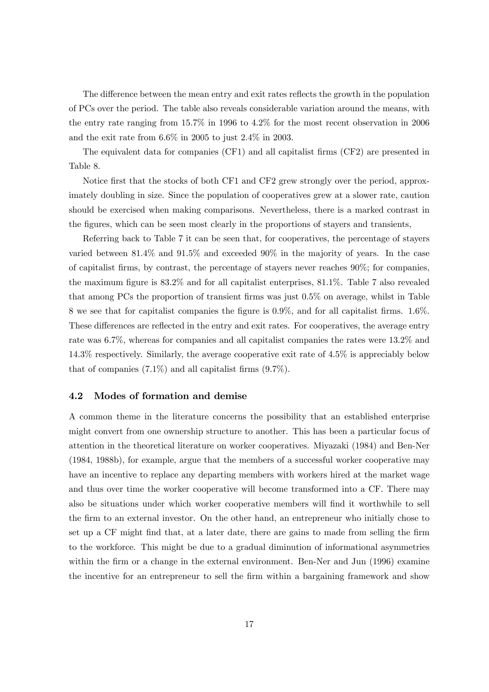The difference between the mean entry and exit rates reflects the growth in the population of PCs over the period. The table also reveals considerable variation around the means, with the entry rate ranging from 15.7% in 1996 to 4.2% for the most recent observation in 2006 and the exit rate from 6.6% in 2005 to just 2.4% in 2003.

The equivalent data for companies (CF1) and all capitalist firms (CF2) are presented in Table 8.

Notice first that the stocks of both CF1 and CF2 grew strongly over the period, approximately doubling in size. Since the population of cooperatives grew at a slower rate, caution should be exercised when making comparisons. Nevertheless, there is a marked contrast in the figures, which can be seen most clearly in the proportions of stayers and transients,

Referring back to Table 7 it can be seen that, for cooperatives, the percentage of stayers varied between 81.4% and 91.5% and exceeded 90% in the majority of years. In the case of capitalist firms, by contrast, the percentage of stayers never reaches  $90\%$ ; for companies, the maximum figure is  $83.2\%$  and for all capitalist enterprises,  $81.1\%$ . Table 7 also revealed that among PCs the proportion of transient firms was just 0.5% on average, whilst in Table 8 we see that for capitalist companies the figure is 0.9%, and for all capitalist firms. 1.6%. These differences are reflected in the entry and exit rates. For cooperatives, the average entry rate was 6.7%, whereas for companies and all capitalist companies the rates were 13.2% and 14.3% respectively. Similarly, the average cooperative exit rate of 4.5% is appreciably below that of companies  $(7.1\%)$  and all capitalist firms  $(9.7\%)$ .

#### 4.2 Modes of formation and demise

A common theme in the literature concerns the possibility that an established enterprise might convert from one ownership structure to another. This has been a particular focus of attention in the theoretical literature on worker cooperatives. Miyazaki (1984) and Ben-Ner (1984, 1988b), for example, argue that the members of a successful worker cooperative may have an incentive to replace any departing members with workers hired at the market wage and thus over time the worker cooperative will become transformed into a CF. There may also be situations under which worker cooperative members will find it worthwhile to sell the firm to an external investor. On the other hand, an entrepreneur who initially chose to set up a CF might find that, at a later date, there are gains to made from selling the firm to the workforce. This might be due to a gradual diminution of informational asymmetries within the firm or a change in the external environment. Ben-Ner and Jun (1996) examine the incentive for an entrepreneur to sell the firm within a bargaining framework and show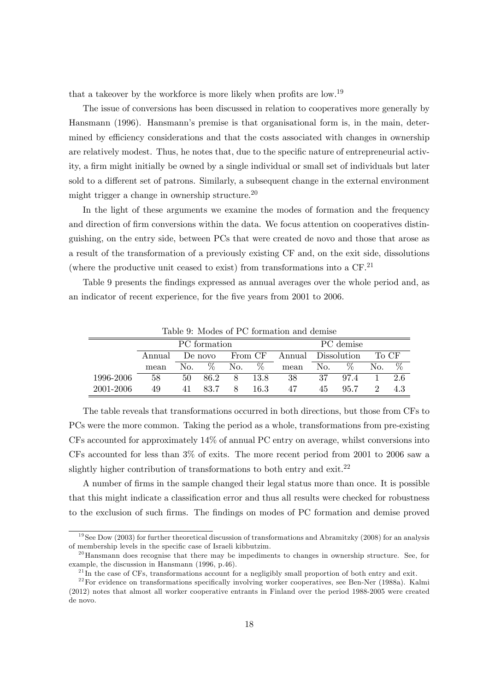that a takeover by the workforce is more likely when profits are low.<sup>19</sup>

The issue of conversions has been discussed in relation to cooperatives more generally by Hansmann (1996). Hansmann's premise is that organisational form is, in the main, determined by efficiency considerations and that the costs associated with changes in ownership are relatively modest. Thus, he notes that, due to the specific nature of entrepreneurial activity, a firm might initially be owned by a single individual or small set of individuals but later sold to a different set of patrons. Similarly, a subsequent change in the external environment might trigger a change in ownership structure.<sup>20</sup>

In the light of these arguments we examine the modes of formation and the frequency and direction of firm conversions within the data. We focus attention on cooperatives distinguishing, on the entry side, between PCs that were created de novo and those that arose as a result of the transformation of a previously existing CF and, on the exit side, dissolutions (where the productive unit ceased to exist) from transformations into a  $CF<sup>21</sup>$ 

Table 9 presents the findings expressed as annual averages over the whole period and, as an indicator of recent experience, for the five years from 2001 to 2006.

|           |        |         | PC formation |         |      | PC demise |                    |      |       |      |
|-----------|--------|---------|--------------|---------|------|-----------|--------------------|------|-------|------|
|           | Annual | De novo |              | From CF |      |           | Annual Dissolution |      | To CF |      |
|           | mean   | No.     | ℅            | No.     | $\%$ | mean      | No.                | $\%$ | No.   | $\%$ |
| 1996-2006 | 58     | 50      | 86.2         | 8       | 13.8 | 38        | 37                 | 97.4 |       | 26   |
| 2001-2006 | 49     | 41      | 83 7         | 8       | 16.3 | 47        | 45                 | 95.7 |       | 43   |

Table 9: Modes of PC formation and demise

The table reveals that transformations occurred in both directions, but those from CFs to PCs were the more common. Taking the period as a whole, transformations from pre-existing CFs accounted for approximately 14% of annual PC entry on average, whilst conversions into CFs accounted for less than 3% of exits. The more recent period from 2001 to 2006 saw a slightly higher contribution of transformations to both entry and exit.<sup>22</sup>

A number of Örms in the sample changed their legal status more than once. It is possible that this might indicate a classification error and thus all results were checked for robustness to the exclusion of such firms. The findings on modes of PC formation and demise proved

<sup>&</sup>lt;sup>19</sup>See Dow (2003) for further theoretical discussion of transformations and Abramitzky (2008) for an analysis of membership levels in the specific case of Israeli kibbutzim.

<sup>&</sup>lt;sup>20</sup>Hansmann does recognise that there may be impediments to changes in ownership structure. See, for example, the discussion in Hansmann (1996, p.46).

 $^{21}$ In the case of CFs, transformations account for a negligibly small proportion of both entry and exit.

 $22$  For evidence on transformations specifically involving worker cooperatives, see Ben-Ner (1988a). Kalmi (2012) notes that almost all worker cooperative entrants in Finland over the period 1988-2005 were created de novo.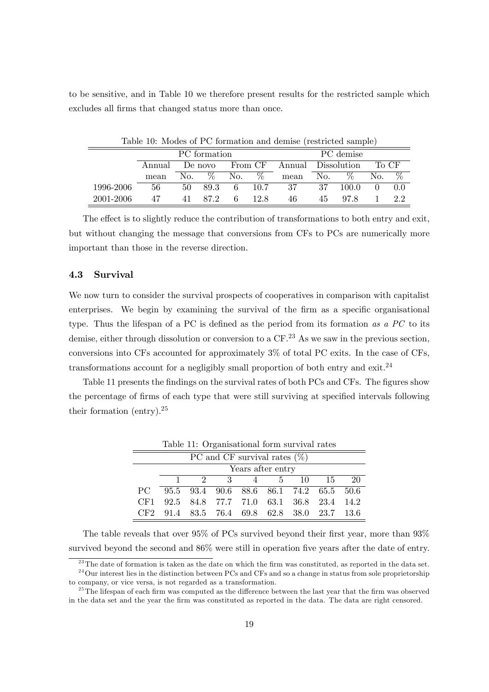to be sensitive, and in Table 10 we therefore present results for the restricted sample which excludes all firms that changed status more than once.

|           | Table 10: Modes of PC formation and demise (restricted sample) |     |              |      |             |          |                                    |           |       |      |
|-----------|----------------------------------------------------------------|-----|--------------|------|-------------|----------|------------------------------------|-----------|-------|------|
|           |                                                                |     | PC formation |      |             |          |                                    | PC demise |       |      |
|           | Annual                                                         |     | No. $\%$     |      |             |          | De novo From CF Annual Dissolution |           | To CF |      |
|           | mean                                                           |     |              |      | No. $\%$    | mean No. |                                    | $\%$      | No.   | $\%$ |
| 1996-2006 | 56                                                             | 50. |              |      | 89.3 6 10.7 | 37       | 37                                 | 100.0     |       | 0.0  |
| 2001-2006 | 47                                                             | 41  | 872          | $-6$ | 12.8        | 46       | 45                                 | 978       |       | 22   |

The effect is to slightly reduce the contribution of transformations to both entry and exit, but without changing the message that conversions from CFs to PCs are numerically more important than those in the reverse direction.

#### 4.3 Survival

Ė

We now turn to consider the survival prospects of cooperatives in comparison with capitalist enterprises. We begin by examining the survival of the firm as a specific organisational type. Thus the lifespan of a PC is defined as the period from its formation as a  $PC$  to its demise, either through dissolution or conversion to a  $CF<sup>23</sup>$  As we saw in the previous section, conversions into CFs accounted for approximately 3% of total PC exits. In the case of CFs, transformations account for a negligibly small proportion of both entry and exit.<sup>24</sup>

Table 11 presents the findings on the survival rates of both PCs and CFs. The figures show the percentage of firms of each type that were still surviving at specified intervals following their formation (entry).<sup>25</sup>

|                                 | Table 11. Organisational form survival rates |                                             |  |                  |  |  |  |  |  |  |  |
|---------------------------------|----------------------------------------------|---------------------------------------------|--|------------------|--|--|--|--|--|--|--|
| PC and CF survival rates $(\%)$ |                                              |                                             |  |                  |  |  |  |  |  |  |  |
|                                 | Years after entry                            |                                             |  |                  |  |  |  |  |  |  |  |
|                                 |                                              |                                             |  | 2 3 4 5 10 15 20 |  |  |  |  |  |  |  |
| PC.                             |                                              | 95.5 93.4 90.6 88.6 86.1 74.2 65.5 50.6     |  |                  |  |  |  |  |  |  |  |
|                                 |                                              | CF1 92.5 84.8 77.7 71.0 63.1 36.8 23.4 14.2 |  |                  |  |  |  |  |  |  |  |
|                                 |                                              | CF2 91.4 83.5 76.4 69.8 62.8 38.0 23.7 13.6 |  |                  |  |  |  |  |  |  |  |

Table 11: Organisational form survival rates

The table reveals that over 95% of PCs survived beyond their first year, more than 93% survived beyond the second and 86% were still in operation five years after the date of entry.

 $^{23}$ The date of formation is taken as the date on which the firm was constituted, as reported in the data set. <sup>24</sup>Our interest lies in the distinction between PCs and CFs and so a change in status from sole proprietorship

to company, or vice versa, is not regarded as a transformation.

<sup>&</sup>lt;sup>25</sup>The lifespan of each firm was computed as the difference between the last year that the firm was observed in the data set and the year the Örm was constituted as reported in the data. The data are right censored.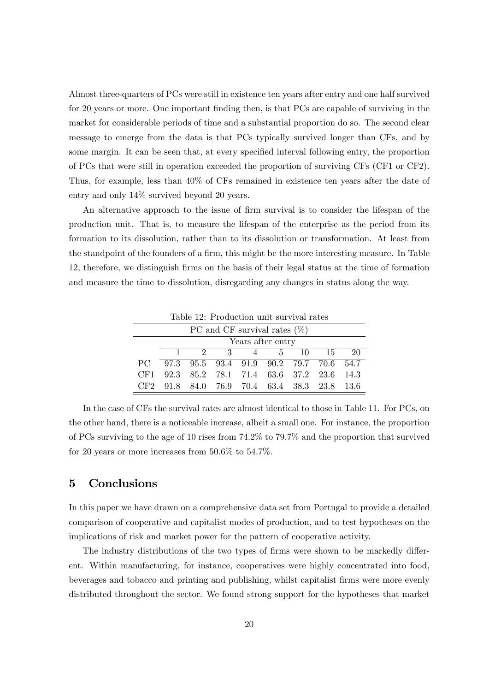Almost three-quarters of PCs were still in existence ten years after entry and one half survived for 20 years or more. One important finding then, is that PCs are capable of surviving in the market for considerable periods of time and a substantial proportion do so. The second clear message to emerge from the data is that PCs typically survived longer than CFs, and by some margin. It can be seen that, at every specified interval following entry, the proportion of PCs that were still in operation exceeded the proportion of surviving CFs (CF1 or CF2). Thus, for example, less than 40% of CFs remained in existence ten years after the date of entry and only 14% survived beyond 20 years.

An alternative approach to the issue of firm survival is to consider the lifespan of the production unit. That is, to measure the lifespan of the enterprise as the period from its formation to its dissolution, rather than to its dissolution or transformation. At least from the standpoint of the founders of a firm, this might be the more interesting measure. In Table 12, therefore, we distinguish Örms on the basis of their legal status at the time of formation and measure the time to dissolution, disregarding any changes in status along the way.

| Table 12: Production unit survival rates |                   |  |  |               |  |  |                                             |     |
|------------------------------------------|-------------------|--|--|---------------|--|--|---------------------------------------------|-----|
| PC and CF survival rates $(\%)$          |                   |  |  |               |  |  |                                             |     |
|                                          | Years after entry |  |  |               |  |  |                                             |     |
|                                          |                   |  |  | 2 3 4 5 10 15 |  |  |                                             | -20 |
| PC.                                      |                   |  |  |               |  |  | 97.3 95.5 93.4 91.9 90.2 79.7 70.6 54.7     |     |
| CF1.                                     |                   |  |  |               |  |  | 92.3 85.2 78.1 71.4 63.6 37.2 23.6 14.3     |     |
|                                          |                   |  |  |               |  |  | CF2 91.8 84.0 76.9 70.4 63.4 38.3 23.8 13.6 |     |

 $Table 19: Der1: 11$ 

In the case of CFs the survival rates are almost identical to those in Table 11. For PCs, on the other hand, there is a noticeable increase, albeit a small one. For instance, the proportion of PCs surviving to the age of 10 rises from 74.2% to 79.7% and the proportion that survived for 20 years or more increases from 50.6% to 54.7%.

# 5 Conclusions

In this paper we have drawn on a comprehensive data set from Portugal to provide a detailed comparison of cooperative and capitalist modes of production, and to test hypotheses on the implications of risk and market power for the pattern of cooperative activity.

The industry distributions of the two types of firms were shown to be markedly different. Within manufacturing, for instance, cooperatives were highly concentrated into food, beverages and tobacco and printing and publishing, whilst capitalist Örms were more evenly distributed throughout the sector. We found strong support for the hypotheses that market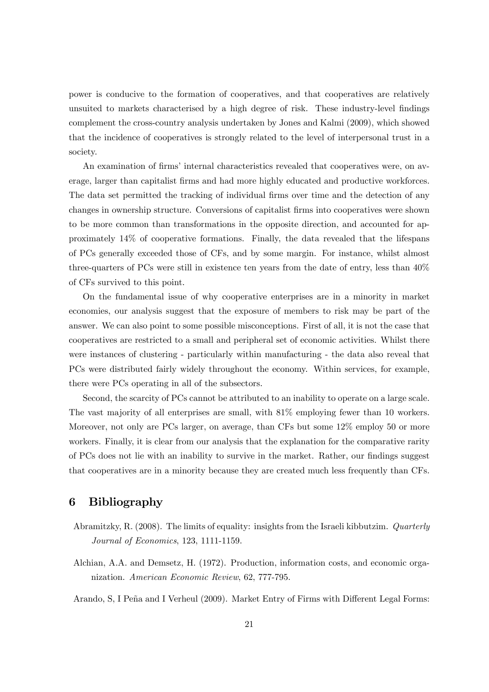power is conducive to the formation of cooperatives, and that cooperatives are relatively unsuited to markets characterised by a high degree of risk. These industry-level findings complement the cross-country analysis undertaken by Jones and Kalmi (2009), which showed that the incidence of cooperatives is strongly related to the level of interpersonal trust in a society.

An examination of firms' internal characteristics revealed that cooperatives were, on average, larger than capitalist Örms and had more highly educated and productive workforces. The data set permitted the tracking of individual firms over time and the detection of any changes in ownership structure. Conversions of capitalist Örms into cooperatives were shown to be more common than transformations in the opposite direction, and accounted for approximately 14% of cooperative formations. Finally, the data revealed that the lifespans of PCs generally exceeded those of CFs, and by some margin. For instance, whilst almost three-quarters of PCs were still in existence ten years from the date of entry, less than 40% of CFs survived to this point.

On the fundamental issue of why cooperative enterprises are in a minority in market economies, our analysis suggest that the exposure of members to risk may be part of the answer. We can also point to some possible misconceptions. First of all, it is not the case that cooperatives are restricted to a small and peripheral set of economic activities. Whilst there were instances of clustering - particularly within manufacturing - the data also reveal that PCs were distributed fairly widely throughout the economy. Within services, for example, there were PCs operating in all of the subsectors.

Second, the scarcity of PCs cannot be attributed to an inability to operate on a large scale. The vast majority of all enterprises are small, with 81% employing fewer than 10 workers. Moreover, not only are PCs larger, on average, than CFs but some 12% employ 50 or more workers. Finally, it is clear from our analysis that the explanation for the comparative rarity of PCs does not lie with an inability to survive in the market. Rather, our findings suggest that cooperatives are in a minority because they are created much less frequently than CFs.

# 6 Bibliography

- Abramitzky, R. (2008). The limits of equality: insights from the Israeli kibbutzim. Quarterly Journal of Economics, 123, 1111-1159.
- Alchian, A.A. and Demsetz, H. (1972). Production, information costs, and economic organization. American Economic Review, 62, 777-795.

Arando, S, I Peña and I Verheul (2009). Market Entry of Firms with Different Legal Forms: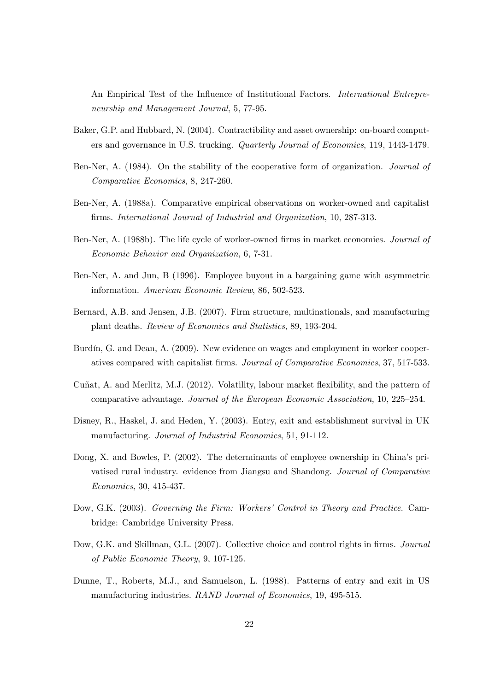An Empirical Test of the Influence of Institutional Factors. *International Entrepre*neurship and Management Journal, 5, 77-95.

- Baker, G.P. and Hubbard, N. (2004). Contractibility and asset ownership: on-board computers and governance in U.S. trucking. Quarterly Journal of Economics, 119, 1443-1479.
- Ben-Ner, A. (1984). On the stability of the cooperative form of organization. Journal of Comparative Economics, 8, 247-260.
- Ben-Ner, A. (1988a). Comparative empirical observations on worker-owned and capitalist firms. International Journal of Industrial and Organization, 10, 287-313.
- Ben-Ner, A. (1988b). The life cycle of worker-owned firms in market economies. Journal of Economic Behavior and Organization, 6, 7-31.
- Ben-Ner, A. and Jun, B (1996). Employee buyout in a bargaining game with asymmetric information. American Economic Review, 86, 502-523.
- Bernard, A.B. and Jensen, J.B. (2007). Firm structure, multinationals, and manufacturing plant deaths. Review of Economics and Statistics, 89, 193-204.
- Burdín, G. and Dean, A. (2009). New evidence on wages and employment in worker cooperatives compared with capitalist Örms. Journal of Comparative Economics, 37, 517-533.
- Cuñat, A. and Merlitz, M.J. (2012). Volatility, labour market flexibility, and the pattern of comparative advantage. Journal of the European Economic Association, 10, 225–254.
- Disney, R., Haskel, J. and Heden, Y. (2003). Entry, exit and establishment survival in UK manufacturing. Journal of Industrial Economics, 51, 91-112.
- Dong, X. and Bowles, P. (2002). The determinants of employee ownership in China's privatised rural industry. evidence from Jiangsu and Shandong. Journal of Comparative Economics, 30, 415-437.
- Dow, G.K. (2003). Governing the Firm: Workers' Control in Theory and Practice. Cambridge: Cambridge University Press.
- Dow, G.K. and Skillman, G.L. (2007). Collective choice and control rights in firms. *Journal* of Public Economic Theory, 9, 107-125.
- Dunne, T., Roberts, M.J., and Samuelson, L. (1988). Patterns of entry and exit in US manufacturing industries. RAND Journal of Economics, 19, 495-515.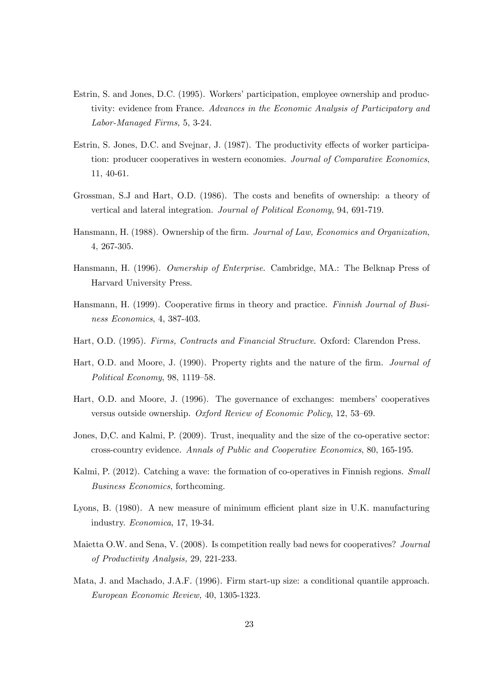- Estrin, S. and Jones, D.C. (1995). Workers' participation, employee ownership and productivity: evidence from France. Advances in the Economic Analysis of Participatory and Labor-Managed Firms, 5, 3-24.
- Estrin, S. Jones, D.C. and Svejnar, J. (1987). The productivity effects of worker participation: producer cooperatives in western economies. Journal of Comparative Economics, 11, 40-61.
- Grossman, S.J and Hart, O.D. (1986). The costs and benefits of ownership: a theory of vertical and lateral integration. Journal of Political Economy, 94, 691-719.
- Hansmann, H. (1988). Ownership of the firm. Journal of Law, Economics and Organization, 4, 267-305.
- Hansmann, H. (1996). Ownership of Enterprise. Cambridge, MA.: The Belknap Press of Harvard University Press.
- Hansmann, H. (1999). Cooperative firms in theory and practice. Finnish Journal of Business Economics, 4, 387-403.
- Hart, O.D. (1995). Firms, Contracts and Financial Structure. Oxford: Clarendon Press.
- Hart, O.D. and Moore, J. (1990). Property rights and the nature of the firm. *Journal of* Political Economy,  $98, 1119-58.$
- Hart, O.D. and Moore, J. (1996). The governance of exchanges: membersí cooperatives versus outside ownership. Oxford Review of Economic Policy, 12, 53-69.
- Jones, D,C. and Kalmi, P. (2009). Trust, inequality and the size of the co-operative sector: cross-country evidence. Annals of Public and Cooperative Economics, 80, 165-195.
- Kalmi, P. (2012). Catching a wave: the formation of co-operatives in Finnish regions. Small Business Economics, forthcoming.
- Lyons, B. (1980). A new measure of minimum efficient plant size in U.K. manufacturing industry. Economica, 17, 19-34.
- Maietta O.W. and Sena, V. (2008). Is competition really bad news for cooperatives? Journal of Productivity Analysis, 29, 221-233.
- Mata, J. and Machado, J.A.F. (1996). Firm start-up size: a conditional quantile approach. European Economic Review, 40, 1305-1323.